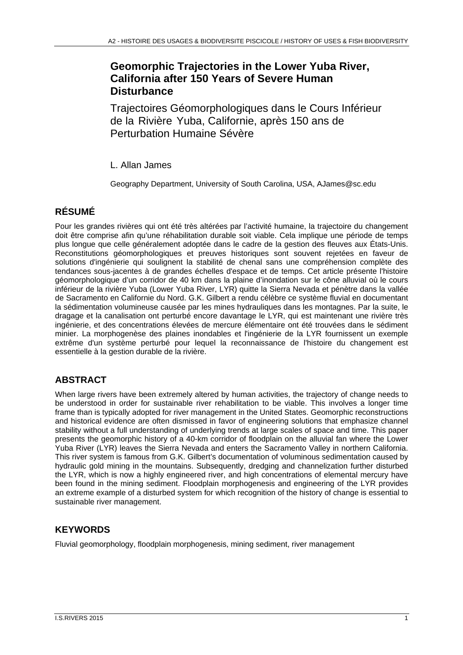# **Geomorphic Trajectories in the Lower Yuba River, California after 150 Years of Severe Human Disturbance**

Trajectoires Géomorphologiques dans le Cours Inférieur de la Rivière Yuba, Californie, après 150 ans de Perturbation Humaine Sévère

L. Allan James

Geography Department, University of South Carolina, USA, AJames@sc.edu

# **RÉSUMÉ**

Pour les grandes rivières qui ont été très altérées par l'activité humaine, la trajectoire du changement doit être comprise afin qu'une réhabilitation durable soit viable. Cela implique une période de temps plus longue que celle généralement adoptée dans le cadre de la gestion des fleuves aux États-Unis. Reconstitutions géomorphologiques et preuves historiques sont souvent rejetées en faveur de solutions d'ingénierie qui soulignent la stabilité de chenal sans une compréhension complète des tendances sous-jacentes à de grandes échelles d'espace et de temps. Cet article présente l'histoire géomorphologique d'un corridor de 40 km dans la plaine d'inondation sur le cône alluvial où le cours inférieur de la rivière Yuba (Lower Yuba River, LYR) quitte la Sierra Nevada et pénètre dans la vallée de Sacramento en Californie du Nord. G.K. Gilbert a rendu célèbre ce système fluvial en documentant la sédimentation volumineuse causée par les mines hydrauliques dans les montagnes. Par la suite, le dragage et la canalisation ont perturbé encore davantage le LYR, qui est maintenant une rivière très ingénierie, et des concentrations élevées de mercure élémentaire ont été trouvées dans le sédiment minier. La morphogenèse des plaines inondables et l'ingénierie de la LYR fournissent un exemple extrême d'un système perturbé pour lequel la reconnaissance de l'histoire du changement est essentielle à la gestion durable de la rivière.

## **ABSTRACT**

When large rivers have been extremely altered by human activities, the trajectory of change needs to be understood in order for sustainable river rehabilitation to be viable. This involves a longer time frame than is typically adopted for river management in the United States. Geomorphic reconstructions and historical evidence are often dismissed in favor of engineering solutions that emphasize channel stability without a full understanding of underlying trends at large scales of space and time. This paper presents the geomorphic history of a 40-km corridor of floodplain on the alluvial fan where the Lower Yuba River (LYR) leaves the Sierra Nevada and enters the Sacramento Valley in northern California. This river system is famous from G.K. Gilbert's documentation of voluminous sedimentation caused by hydraulic gold mining in the mountains. Subsequently, dredging and channelization further disturbed the LYR, which is now a highly engineered river, and high concentrations of elemental mercury have been found in the mining sediment. Floodplain morphogenesis and engineering of the LYR provides an extreme example of a disturbed system for which recognition of the history of change is essential to sustainable river management.

# **KEYWORDS**

Fluvial geomorphology, floodplain morphogenesis, mining sediment, river management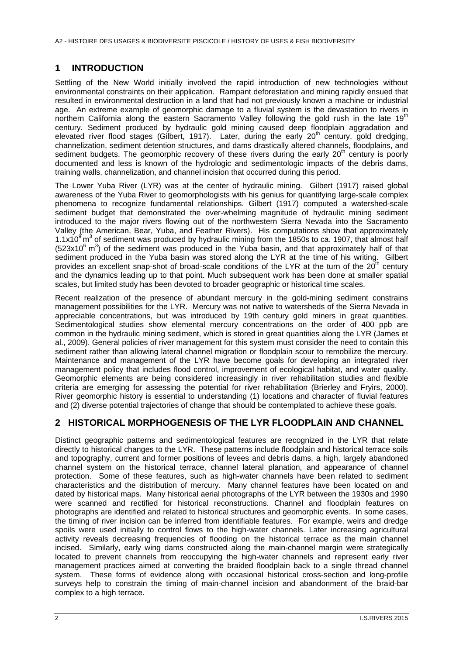#### **1 INTRODUCTION**

Settling of the New World initially involved the rapid introduction of new technologies without environmental constraints on their application. Rampant deforestation and mining rapidly ensued that resulted in environmental destruction in a land that had not previously known a machine or industrial age. An extreme example of geomorphic damage to a fluvial system is the devastation to rivers in northern California along the eastern Sacramento Valley following the gold rush in the late 19<sup>th</sup> century. Sediment produced by hydraulic gold mining caused deep floodplain aggradation and elevated river flood stages (Gilbert, 1917). Later, during the early 20<sup>th</sup> century, gold dredging, channelization, sediment detention structures, and dams drastically altered channels, floodplains, and sediment budgets. The geomorphic recovery of these rivers during the early  $20<sup>th</sup>$  century is poorly documented and less is known of the hydrologic and sedimentologic impacts of the debris dams, training walls, channelization, and channel incision that occurred during this period.

The Lower Yuba River (LYR) was at the center of hydraulic mining. Gilbert (1917) raised global awareness of the Yuba River to geomorphologists with his genius for quantifying large-scale complex phenomena to recognize fundamental relationships. Gilbert (1917) computed a watershed-scale sediment budget that demonstrated the over-whelming magnitude of hydraulic mining sediment introduced to the major rivers flowing out of the northwestern Sierra Nevada into the Sacramento Valley (the American, Bear, Yuba, and Feather Rivers). His computations show that approximately 1.1x10 $\degree$  m<sup>3</sup> of sediment was produced by hydraulic mining from the 1850s to ca. 1907, that almost half  $(523x10<sup>6</sup> m<sup>3</sup>)$  of the sediment was produced in the Yuba basin, and that approximately half of that sediment produced in the Yuba basin was stored along the LYR at the time of his writing. Gilbert provides an excellent snap-shot of broad-scale conditions of the LYR at the turn of the  $20^{th}$  century and the dynamics leading up to that point. Much subsequent work has been done at smaller spatial scales, but limited study has been devoted to broader geographic or historical time scales.

Recent realization of the presence of abundant mercury in the gold-mining sediment constrains management possibilities for the LYR. Mercury was not native to watersheds of the Sierra Nevada in appreciable concentrations, but was introduced by 19th century gold miners in great quantities. Sedimentological studies show elemental mercury concentrations on the order of 400 ppb are common in the hydraulic mining sediment, which is stored in great quantities along the LYR (James et al., 2009). General policies of river management for this system must consider the need to contain this sediment rather than allowing lateral channel migration or floodplain scour to remobilize the mercury. Maintenance and management of the LYR have become goals for developing an integrated river management policy that includes flood control, improvement of ecological habitat, and water quality. Geomorphic elements are being considered increasingly in river rehabilitation studies and flexible criteria are emerging for assessing the potential for river rehabilitation (Brierley and Fryirs, 2000). River geomorphic history is essential to understanding (1) locations and character of fluvial features and (2) diverse potential trajectories of change that should be contemplated to achieve these goals.

#### **2 HISTORICAL MORPHOGENESIS OF THE LYR FLOODPLAIN AND CHANNEL**

Distinct geographic patterns and sedimentological features are recognized in the LYR that relate directly to historical changes to the LYR. These patterns include floodplain and historical terrace soils and topography, current and former positions of levees and debris dams, a high, largely abandoned channel system on the historical terrace, channel lateral planation, and appearance of channel protection. Some of these features, such as high-water channels have been related to sediment characteristics and the distribution of mercury. Many channel features have been located on and dated by historical maps. Many historical aerial photographs of the LYR between the 1930s and 1990 were scanned and rectified for historical reconstructions. Channel and floodplain features on photographs are identified and related to historical structures and geomorphic events. In some cases, the timing of river incision can be inferred from identifiable features. For example, weirs and dredge spoils were used initially to control flows to the high-water channels. Later increasing agricultural activity reveals decreasing frequencies of flooding on the historical terrace as the main channel incised. Similarly, early wing dams constructed along the main-channel margin were strategically located to prevent channels from reoccupying the high-water channels and represent early river management practices aimed at converting the braided floodplain back to a single thread channel system. These forms of evidence along with occasional historical cross-section and long-profile surveys help to constrain the timing of main-channel incision and abandonment of the braid-bar complex to a high terrace.